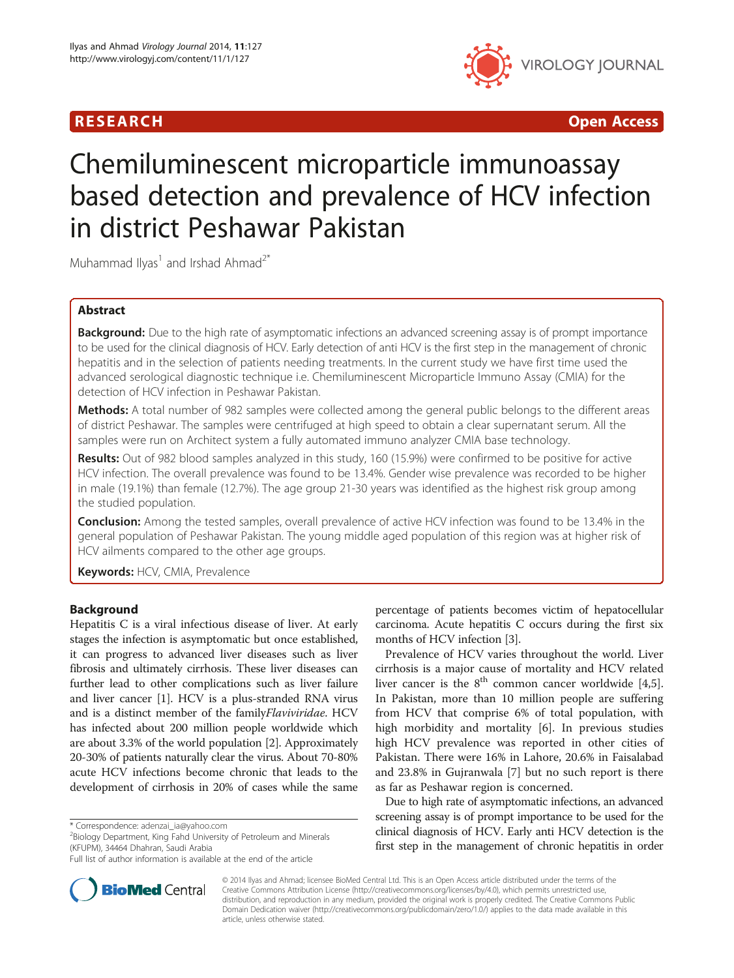

R E S EAR CH Open Access

# Chemiluminescent microparticle immunoassay based detection and prevalence of HCV infection in district Peshawar Pakistan

Muhammad Ilyas<sup>1</sup> and Irshad Ahmad<sup>2\*</sup>

# Abstract

Background: Due to the high rate of asymptomatic infections an advanced screening assay is of prompt importance to be used for the clinical diagnosis of HCV. Early detection of anti HCV is the first step in the management of chronic hepatitis and in the selection of patients needing treatments. In the current study we have first time used the advanced serological diagnostic technique i.e. Chemiluminescent Microparticle Immuno Assay (CMIA) for the detection of HCV infection in Peshawar Pakistan.

**Methods:** A total number of 982 samples were collected among the general public belongs to the different areas of district Peshawar. The samples were centrifuged at high speed to obtain a clear supernatant serum. All the samples were run on Architect system a fully automated immuno analyzer CMIA base technology.

Results: Out of 982 blood samples analyzed in this study, 160 (15.9%) were confirmed to be positive for active HCV infection. The overall prevalence was found to be 13.4%. Gender wise prevalence was recorded to be higher in male (19.1%) than female (12.7%). The age group 21-30 years was identified as the highest risk group among the studied population.

**Conclusion:** Among the tested samples, overall prevalence of active HCV infection was found to be 13.4% in the general population of Peshawar Pakistan. The young middle aged population of this region was at higher risk of HCV ailments compared to the other age groups.

Keywords: HCV, CMIA, Prevalence

# Background

Hepatitis C is a viral infectious disease of liver. At early stages the infection is asymptomatic but once established, it can progress to advanced liver diseases such as liver fibrosis and ultimately cirrhosis. These liver diseases can further lead to other complications such as liver failure and liver cancer [\[1](#page-3-0)]. HCV is a plus-stranded RNA virus and is a distinct member of the familyFlaviviridae. HCV has infected about 200 million people worldwide which are about 3.3% of the world population [\[2](#page-3-0)]. Approximately 20-30% of patients naturally clear the virus. About 70-80% acute HCV infections become chronic that leads to the development of cirrhosis in 20% of cases while the same

\* Correspondence: [adenzai\\_ia@yahoo.com](mailto:adenzai_ia@yahoo.com) <sup>2</sup>

<sup>2</sup>Biology Department, King Fahd University of Petroleum and Minerals (KFUPM), 34464 Dhahran, Saudi Arabia



Prevalence of HCV varies throughout the world. Liver cirrhosis is a major cause of mortality and HCV related liver cancer is the  $8<sup>th</sup>$  common cancer worldwide [\[4,5](#page-3-0)]. In Pakistan, more than 10 million people are suffering from HCV that comprise 6% of total population, with high morbidity and mortality [\[6](#page-3-0)]. In previous studies high HCV prevalence was reported in other cities of Pakistan. There were 16% in Lahore, 20.6% in Faisalabad and 23.8% in Gujranwala [[7\]](#page-3-0) but no such report is there as far as Peshawar region is concerned.

Due to high rate of asymptomatic infections, an advanced screening assay is of prompt importance to be used for the clinical diagnosis of HCV. Early anti HCV detection is the first step in the management of chronic hepatitis in order



© 2014 Ilyas and Ahmad; licensee BioMed Central Ltd. This is an Open Access article distributed under the terms of the Creative Commons Attribution License (<http://creativecommons.org/licenses/by/4.0>), which permits unrestricted use, distribution, and reproduction in any medium, provided the original work is properly credited. The Creative Commons Public Domain Dedication waiver [\(http://creativecommons.org/publicdomain/zero/1.0/\)](http://creativecommons.org/publicdomain/zero/1.0/) applies to the data made available in this article, unless otherwise stated.

Full list of author information is available at the end of the article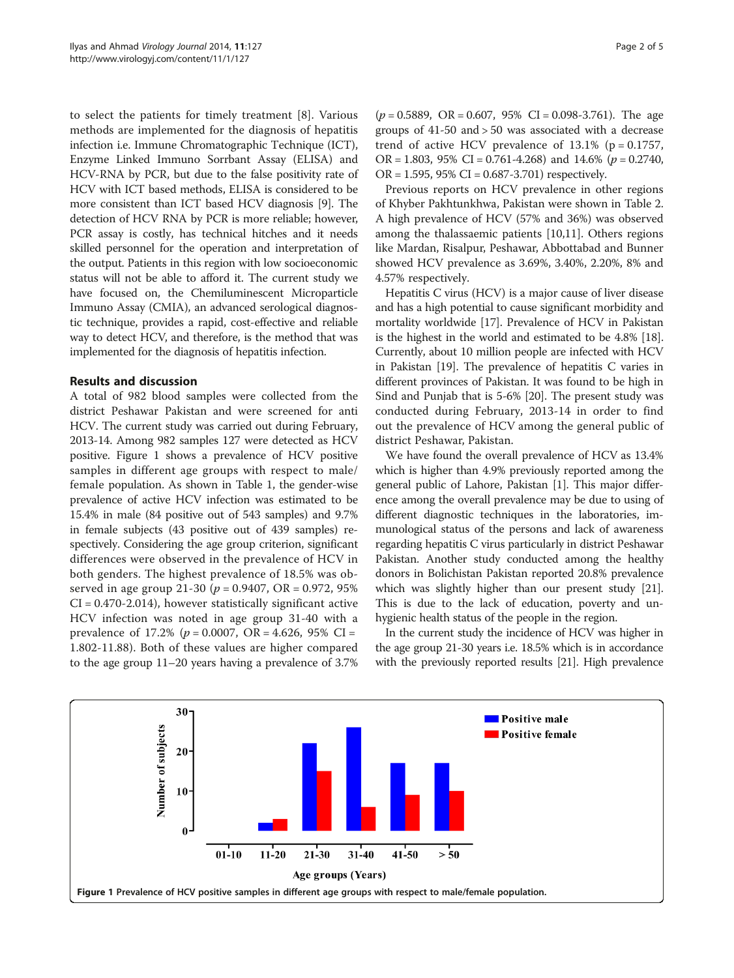to select the patients for timely treatment [[8\]](#page-3-0). Various methods are implemented for the diagnosis of hepatitis infection i.e. Immune Chromatographic Technique (ICT), Enzyme Linked Immuno Sorrbant Assay (ELISA) and HCV-RNA by PCR, but due to the false positivity rate of HCV with ICT based methods, ELISA is considered to be more consistent than ICT based HCV diagnosis [\[9\]](#page-3-0). The detection of HCV RNA by PCR is more reliable; however, PCR assay is costly, has technical hitches and it needs skilled personnel for the operation and interpretation of the output. Patients in this region with low socioeconomic status will not be able to afford it. The current study we have focused on, the Chemiluminescent Microparticle Immuno Assay (CMIA), an advanced serological diagnostic technique, provides a rapid, cost-effective and reliable way to detect HCV, and therefore, is the method that was implemented for the diagnosis of hepatitis infection.

# Results and discussion

A total of 982 blood samples were collected from the district Peshawar Pakistan and were screened for anti HCV. The current study was carried out during February, 2013-14. Among 982 samples 127 were detected as HCV positive. Figure 1 shows a prevalence of HCV positive samples in different age groups with respect to male/ female population. As shown in Table [1](#page-2-0), the gender-wise prevalence of active HCV infection was estimated to be 15.4% in male (84 positive out of 543 samples) and 9.7% in female subjects (43 positive out of 439 samples) respectively. Considering the age group criterion, significant differences were observed in the prevalence of HCV in both genders. The highest prevalence of 18.5% was observed in age group 21-30 ( $p = 0.9407$ , OR = 0.972, 95%  $CI = 0.470 - 2.014$ , however statistically significant active HCV infection was noted in age group 31-40 with a prevalence of 17.2% ( $p = 0.0007$ , OR = 4.626, 95% CI = 1.802-11.88). Both of these values are higher compared to the age group 11–20 years having a prevalence of 3.7%

 $(p = 0.5889, \text{ OR } = 0.607, 95\% \text{ CI } = 0.098 - 3.761).$  The age groups of 41-50 and > 50 was associated with a decrease trend of active HCV prevalence of  $13.1\%$  (p = 0.1757, OR = 1.803, 95% CI = 0.761-4.268) and 14.6% ( $p = 0.2740$ ,  $OR = 1.595, 95\% CI = 0.687 - 3.701$  respectively.

Previous reports on HCV prevalence in other regions of Khyber Pakhtunkhwa, Pakistan were shown in Table [2](#page-2-0). A high prevalence of HCV (57% and 36%) was observed among the thalassaemic patients [[10](#page-3-0),[11](#page-3-0)]. Others regions like Mardan, Risalpur, Peshawar, Abbottabad and Bunner showed HCV prevalence as 3.69%, 3.40%, 2.20%, 8% and 4.57% respectively.

Hepatitis C virus (HCV) is a major cause of liver disease and has a high potential to cause significant morbidity and mortality worldwide [\[17\]](#page-4-0). Prevalence of HCV in Pakistan is the highest in the world and estimated to be 4.8% [[18](#page-4-0)]. Currently, about 10 million people are infected with HCV in Pakistan [\[19\]](#page-4-0). The prevalence of hepatitis C varies in different provinces of Pakistan. It was found to be high in Sind and Punjab that is 5-6% [\[20\]](#page-4-0). The present study was conducted during February, 2013-14 in order to find out the prevalence of HCV among the general public of district Peshawar, Pakistan.

We have found the overall prevalence of HCV as 13.4% which is higher than 4.9% previously reported among the general public of Lahore, Pakistan [[1\]](#page-3-0). This major difference among the overall prevalence may be due to using of different diagnostic techniques in the laboratories, immunological status of the persons and lack of awareness regarding hepatitis C virus particularly in district Peshawar Pakistan. Another study conducted among the healthy donors in Bolichistan Pakistan reported 20.8% prevalence which was slightly higher than our present study [[21](#page-4-0)]. This is due to the lack of education, poverty and unhygienic health status of the people in the region.

In the current study the incidence of HCV was higher in the age group 21-30 years i.e. 18.5% which is in accordance with the previously reported results [\[21\]](#page-4-0). High prevalence

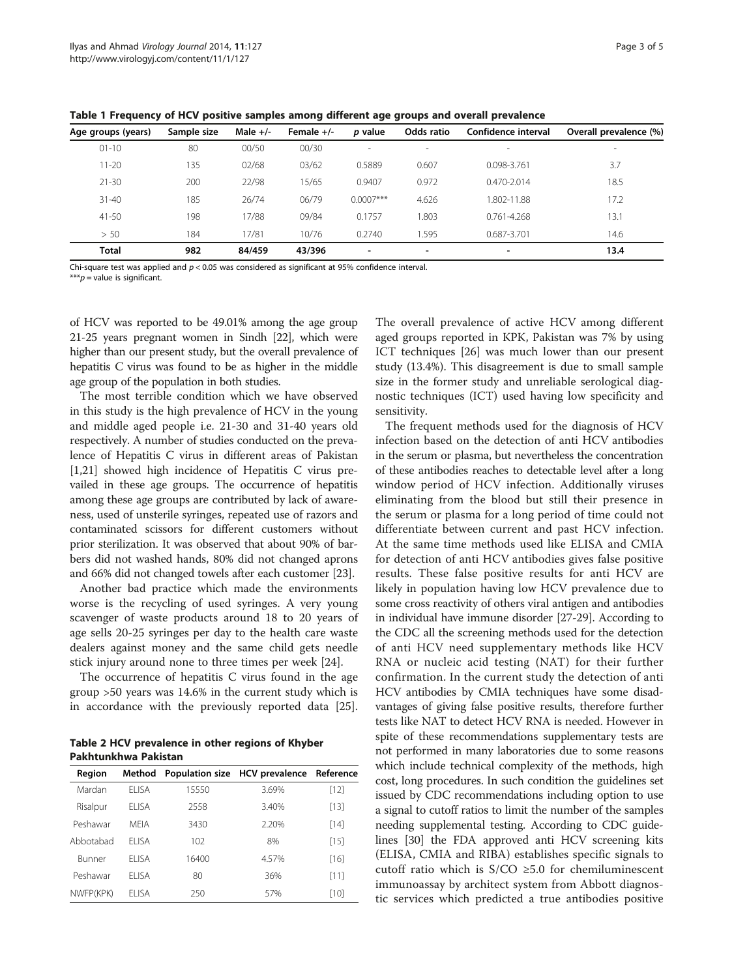<span id="page-2-0"></span>Table 1 Frequency of HCV positive samples among different age groups and overall prevalence

| Age groups (years) | Sample size | Male $+/-$ | Female $+/-$ | p value                  | Odds ratio | Confidence interval      | Overall prevalence (%) |
|--------------------|-------------|------------|--------------|--------------------------|------------|--------------------------|------------------------|
| $01 - 10$          | 80          | 00/50      | 00/30        | $\sim$                   | -          | $\sim$                   | $\,$                   |
| $11 - 20$          | 135         | 02/68      | 03/62        | 0.5889                   | 0.607      | 0.098-3.761              | 3.7                    |
| $21 - 30$          | 200         | 22/98      | 15/65        | 0.9407                   | 0.972      | $0.470 - 2.014$          | 18.5                   |
| $31 - 40$          | 185         | 26/74      | 06/79        | $0.0007***$              | 4.626      | 1.802-11.88              | 17.2                   |
| $41 - 50$          | 198         | 17/88      | 09/84        | 0.1757                   | 1.803      | 0.761-4.268              | 13.1                   |
| > 50               | 184         | 17/81      | 10/76        | 0.2740                   | 1.595      | 0.687-3.701              | 14.6                   |
| <b>Total</b>       | 982         | 84/459     | 43/396       | $\overline{\phantom{a}}$ | ۰          | $\overline{\phantom{a}}$ | 13.4                   |

Chi-square test was applied and  $p < 0.05$  was considered as significant at 95% confidence interval.

\*\*\* $p$  = value is significant.

of HCV was reported to be 49.01% among the age group 21-25 years pregnant women in Sindh [\[22\]](#page-4-0), which were higher than our present study, but the overall prevalence of hepatitis C virus was found to be as higher in the middle age group of the population in both studies.

The most terrible condition which we have observed in this study is the high prevalence of HCV in the young and middle aged people i.e. 21-30 and 31-40 years old respectively. A number of studies conducted on the prevalence of Hepatitis C virus in different areas of Pakistan [[1,](#page-3-0)[21](#page-4-0)] showed high incidence of Hepatitis C virus prevailed in these age groups. The occurrence of hepatitis among these age groups are contributed by lack of awareness, used of unsterile syringes, repeated use of razors and contaminated scissors for different customers without prior sterilization. It was observed that about 90% of barbers did not washed hands, 80% did not changed aprons and 66% did not changed towels after each customer [\[23\]](#page-4-0).

Another bad practice which made the environments worse is the recycling of used syringes. A very young scavenger of waste products around 18 to 20 years of age sells 20-25 syringes per day to the health care waste dealers against money and the same child gets needle stick injury around none to three times per week [[24](#page-4-0)].

The occurrence of hepatitis C virus found in the age group >50 years was 14.6% in the current study which is in accordance with the previously reported data [\[25](#page-4-0)].

Table 2 HCV prevalence in other regions of Khyber Pakhtunkhwa Pakistan

| Region    | Method |       | Population size HCV prevalence Reference |        |
|-----------|--------|-------|------------------------------------------|--------|
| Mardan    | FI ISA | 15550 | 3.69%                                    | $[12]$ |
| Risalpur  | FI ISA | 2558  | 3.40%                                    | $[13]$ |
| Peshawar  | MFIA   | 3430  | 220%                                     | $[14]$ |
| Abbotabad | FI ISA | 102   | 8%                                       | $[15]$ |
| Bunner    | FI ISA | 16400 | 4.57%                                    | $[16]$ |
| Peshawar  | FI ISA | 80    | 36%                                      | [11]   |
| NWFP(KPK) | FI ISA | 250   | 57%                                      | $[10]$ |

The overall prevalence of active HCV among different aged groups reported in KPK, Pakistan was 7% by using ICT techniques [[26\]](#page-4-0) was much lower than our present study (13.4%). This disagreement is due to small sample size in the former study and unreliable serological diagnostic techniques (ICT) used having low specificity and sensitivity.

The frequent methods used for the diagnosis of HCV infection based on the detection of anti HCV antibodies in the serum or plasma, but nevertheless the concentration of these antibodies reaches to detectable level after a long window period of HCV infection. Additionally viruses eliminating from the blood but still their presence in the serum or plasma for a long period of time could not differentiate between current and past HCV infection. At the same time methods used like ELISA and CMIA for detection of anti HCV antibodies gives false positive results. These false positive results for anti HCV are likely in population having low HCV prevalence due to some cross reactivity of others viral antigen and antibodies in individual have immune disorder [[27-29\]](#page-4-0). According to the CDC all the screening methods used for the detection of anti HCV need supplementary methods like HCV RNA or nucleic acid testing (NAT) for their further confirmation. In the current study the detection of anti HCV antibodies by CMIA techniques have some disadvantages of giving false positive results, therefore further tests like NAT to detect HCV RNA is needed. However in spite of these recommendations supplementary tests are not performed in many laboratories due to some reasons which include technical complexity of the methods, high cost, long procedures. In such condition the guidelines set issued by CDC recommendations including option to use a signal to cutoff ratios to limit the number of the samples needing supplemental testing. According to CDC guidelines [[30](#page-4-0)] the FDA approved anti HCV screening kits (ELISA, CMIA and RIBA) establishes specific signals to cutoff ratio which is  $S/CO \geq 5.0$  for chemiluminescent immunoassay by architect system from Abbott diagnostic services which predicted a true antibodies positive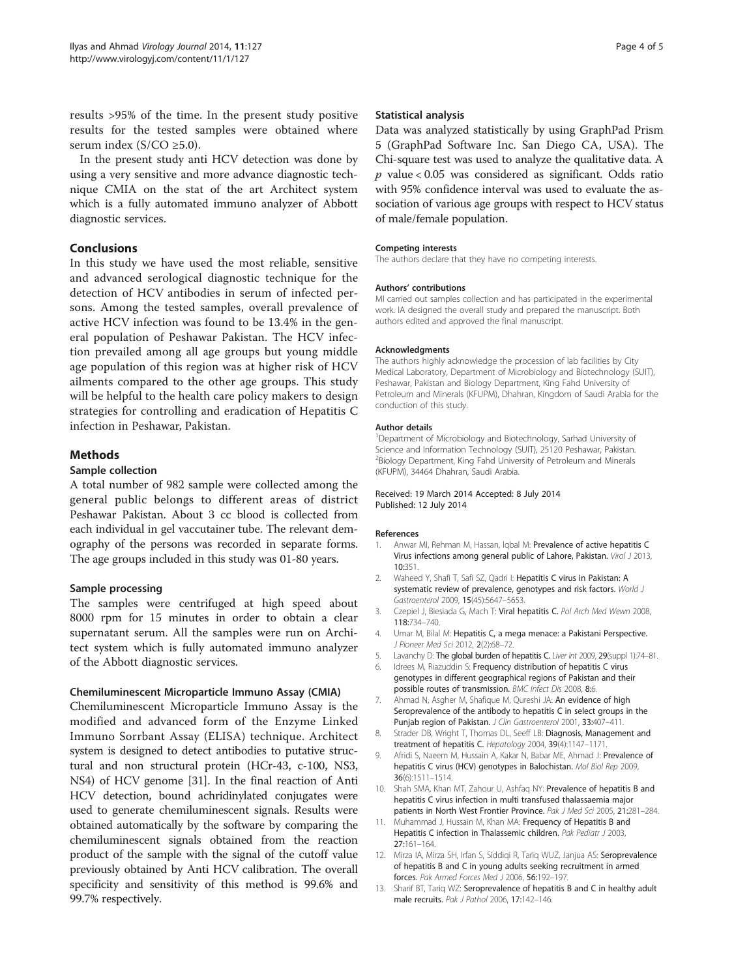<span id="page-3-0"></span>results >95% of the time. In the present study positive results for the tested samples were obtained where serum index ( $S/CO \ge 5.0$ ).

In the present study anti HCV detection was done by using a very sensitive and more advance diagnostic technique CMIA on the stat of the art Architect system which is a fully automated immuno analyzer of Abbott diagnostic services.

# Conclusions

In this study we have used the most reliable, sensitive and advanced serological diagnostic technique for the detection of HCV antibodies in serum of infected persons. Among the tested samples, overall prevalence of active HCV infection was found to be 13.4% in the general population of Peshawar Pakistan. The HCV infection prevailed among all age groups but young middle age population of this region was at higher risk of HCV ailments compared to the other age groups. This study will be helpful to the health care policy makers to design strategies for controlling and eradication of Hepatitis C infection in Peshawar, Pakistan.

# **Methods**

# Sample collection

A total number of 982 sample were collected among the general public belongs to different areas of district Peshawar Pakistan. About 3 cc blood is collected from each individual in gel vaccutainer tube. The relevant demography of the persons was recorded in separate forms. The age groups included in this study was 01-80 years.

# Sample processing

The samples were centrifuged at high speed about 8000 rpm for 15 minutes in order to obtain a clear supernatant serum. All the samples were run on Architect system which is fully automated immuno analyzer of the Abbott diagnostic services.

# Chemiluminescent Microparticle Immuno Assay (CMIA)

Chemiluminescent Microparticle Immuno Assay is the modified and advanced form of the Enzyme Linked Immuno Sorrbant Assay (ELISA) technique. Architect system is designed to detect antibodies to putative structural and non structural protein (HCr-43, c-100, NS3, NS4) of HCV genome [[31](#page-4-0)]. In the final reaction of Anti HCV detection, bound achridinylated conjugates were used to generate chemiluminescent signals. Results were obtained automatically by the software by comparing the chemiluminescent signals obtained from the reaction product of the sample with the signal of the cutoff value previously obtained by Anti HCV calibration. The overall specificity and sensitivity of this method is 99.6% and 99.7% respectively.

# Statistical analysis

Data was analyzed statistically by using GraphPad Prism 5 (GraphPad Software Inc. San Diego CA, USA). The Chi-square test was used to analyze the qualitative data. A  $p$  value < 0.05 was considered as significant. Odds ratio with 95% confidence interval was used to evaluate the association of various age groups with respect to HCV status of male/female population.

#### Competing interests

The authors declare that they have no competing interests.

#### Authors' contributions

MI carried out samples collection and has participated in the experimental work. IA designed the overall study and prepared the manuscript. Both authors edited and approved the final manuscript.

#### Acknowledgments

The authors highly acknowledge the procession of lab facilities by City Medical Laboratory, Department of Microbiology and Biotechnology (SUIT), Peshawar, Pakistan and Biology Department, King Fahd University of Petroleum and Minerals (KFUPM), Dhahran, Kingdom of Saudi Arabia for the conduction of this study.

#### Author details

<sup>1</sup>Department of Microbiology and Biotechnology, Sarhad University of Science and Information Technology (SUIT), 25120 Peshawar, Pakistan. <sup>2</sup> Biology Department, King Fahd University of Petroleum and Minerals (KFUPM), 34464 Dhahran, Saudi Arabia.

#### Received: 19 March 2014 Accepted: 8 July 2014 Published: 12 July 2014

#### References

- 1. Anwar MI, Rehman M, Hassan, Iqbal M: Prevalence of active hepatitis C Virus infections among general public of Lahore, Pakistan. Virol J 2013, 10:351.
- 2. Waheed Y, Shafi T, Safi SZ, Qadri I: Hepatitis C virus in Pakistan: A systematic review of prevalence, genotypes and risk factors. World J Gastroenterol 2009, 15(45):5647–5653.
- 3. Czepiel J, Biesiada G, Mach T: Viral hepatitis C. Pol Arch Med Wewn 2008, 118:734–740.
- 4. Umar M, Bilal M: Hepatitis C, a mega menace: a Pakistani Perspective. J Pioneer Med Sci 2012, 2(2):68–72.
- 5. Lavanchy D: The global burden of hepatitis C. Liver Int 2009, 29(suppl 1):74-81.
- 6. Idrees M, Riazuddin S: Frequency distribution of hepatitis C virus genotypes in different geographical regions of Pakistan and their possible routes of transmission. BMC Infect Dis 2008, 8:6.
- 7. Ahmad N, Asgher M, Shafique M, Qureshi JA: An evidence of high Seroprevalence of the antibody to hepatitis C in select groups in the Punjab region of Pakistan. J Clin Gastroenterol 2001, 33:407-411.
- 8. Strader DB, Wright T, Thomas DL, Seeff LB: Diagnosis, Management and treatment of hepatitis C. Hepatology 2004, 39(4):1147–1171.
- 9. Afridi S, Naeem M, Hussain A, Kakar N, Babar ME, Ahmad J: Prevalence of hepatitis C virus (HCV) genotypes in Balochistan. Mol Biol Rep 2009, 36(6):1511–1514.
- 10. Shah SMA, Khan MT, Zahour U, Ashfaq NY: Prevalence of hepatitis B and hepatitis C virus infection in multi transfused thalassaemia major patients in North West Frontier Province. Pak J Med Sci 2005, 21:281-284.
- 11. Muhammad J, Hussain M, Khan MA: Frequency of Hepatitis B and Hepatitis C infection in Thalassemic children. Pak Pediatr J 2003, 27:161–164.
- 12. Mirza IA, Mirza SH, Irfan S, Siddiqi R, Tariq WUZ, Janjua AS: Seroprevalence of hepatitis B and C in young adults seeking recruitment in armed forces. Pak Armed Forces Med J 2006, 56:192–197.
- 13. Sharif BT, Tariq WZ: Seroprevalence of hepatitis B and C in healthy adult male recruits. Pak J Pathol 2006, 17:142–146.